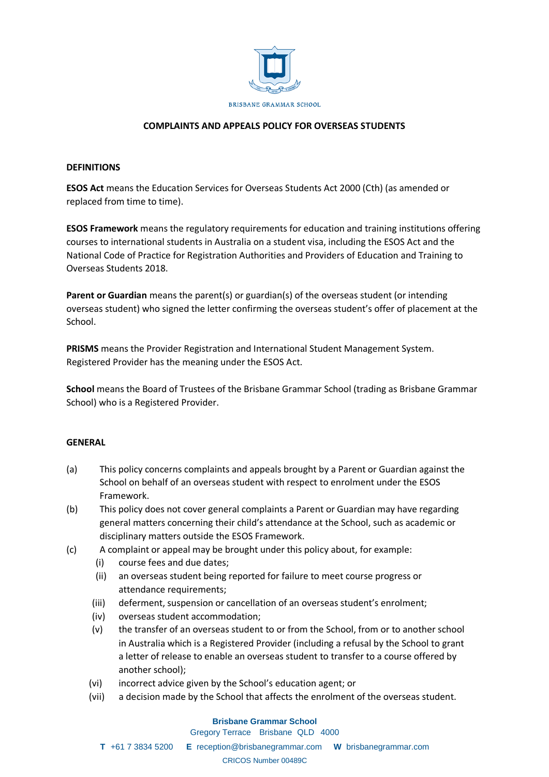

## **COMPLAINTS AND APPEALS POLICY FOR OVERSEAS STUDENTS**

#### **DEFINITIONS**

**ESOS Act** means the Education Services for Overseas Students Act 2000 (Cth) (as amended or replaced from time to time).

**ESOS Framework** means the regulatory requirements for education and training institutions offering courses to international students in Australia on a student visa, including the ESOS Act and the National Code of Practice for Registration Authorities and Providers of Education and Training to Overseas Students 2018.

**Parent or Guardian** means the parent(s) or guardian(s) of the overseas student (or intending overseas student) who signed the letter confirming the overseas student's offer of placement at the School.

**PRISMS** means the Provider Registration and International Student Management System. Registered Provider has the meaning under the ESOS Act.

**School** means the Board of Trustees of the Brisbane Grammar School (trading as Brisbane Grammar School) who is a Registered Provider.

#### **GENERAL**

- (a) This policy concerns complaints and appeals brought by a Parent or Guardian against the School on behalf of an overseas student with respect to enrolment under the ESOS Framework.
- (b) This policy does not cover general complaints a Parent or Guardian may have regarding general matters concerning their child's attendance at the School, such as academic or disciplinary matters outside the ESOS Framework.
- (c) A complaint or appeal may be brought under this policy about, for example:
	- (i) course fees and due dates;
	- (ii) an overseas student being reported for failure to meet course progress or attendance requirements;
	- (iii) deferment, suspension or cancellation of an overseas student's enrolment;
	- (iv) overseas student accommodation;
	- (v) the transfer of an overseas student to or from the School, from or to another school in Australia which is a Registered Provider (including a refusal by the School to grant a letter of release to enable an overseas student to transfer to a course offered by another school);
	- (vi) incorrect advice given by the School's education agent; or
	- (vii) a decision made by the School that affects the enrolment of the overseas student.

# **Brisbane Grammar School**

Gregory Terrace Brisbane QLD 4000

**T** +61 7 3834 5200 **E** reception@brisbanegrammar.com **W** brisbanegrammar.com CRICOS Number 00489C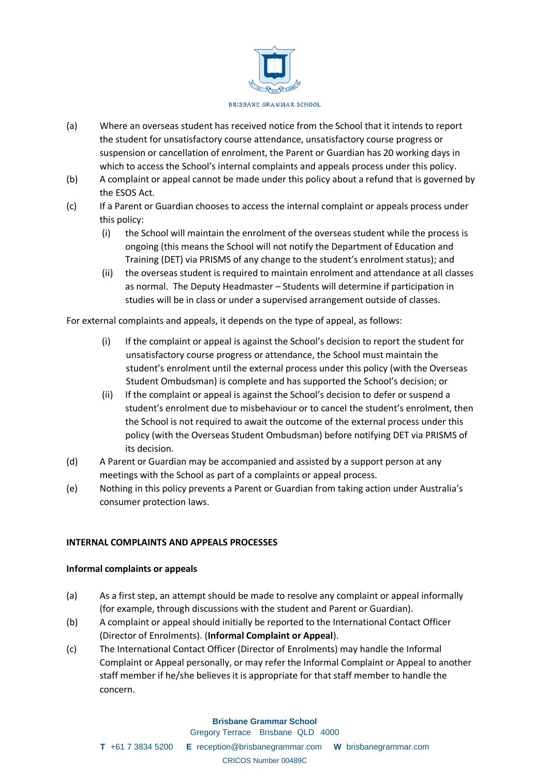

- (a) Where an overseas student has received notice from the School that it intends to report the student for unsatisfactory course attendance, unsatisfactory course progress or suspension or cancellation of enrolment, the Parent or Guardian has 20 working days in which to access the School's internal complaints and appeals process under this policy.
- (b) A complaint or appeal cannot be made under this policy about a refund that is governed by the ESOS Act.
- (c) If a Parent or Guardian chooses to access the internal complaint or appeals process under this policy:
	- (i) the School will maintain the enrolment of the overseas student while the process is ongoing (this means the School will not notify the Department of Education and Training (DET) via PRISMS of any change to the student's enrolment status); and
	- (ii) the overseas student is required to maintain enrolment and attendance at all classes as normal. The Deputy Headmaster – Students will determine if participation in studies will be in class or under a supervised arrangement outside of classes.

For external complaints and appeals, it depends on the type of appeal, as follows:

- (i) If the complaint or appeal is against the School's decision to report the student for unsatisfactory course progress or attendance, the School must maintain the student's enrolment until the external process under this policy (with the Overseas Student Ombudsman) is complete and has supported the School's decision; or
- (ii) If the complaint or appeal is against the School's decision to defer or suspend a student's enrolment due to misbehaviour or to cancel the student's enrolment, then the School is not required to await the outcome of the external process under this policy (with the Overseas Student Ombudsman) before notifying DET via PRISMS of its decision.
- (d) A Parent or Guardian may be accompanied and assisted by a support person at any meetings with the School as part of a complaints or appeal process.
- (e) Nothing in this policy prevents a Parent or Guardian from taking action under Australia's consumer protection laws.

## **INTERNAL COMPLAINTS AND APPEALS PROCESSES**

#### **Informal complaints or appeals**

- (a) As a first step, an attempt should be made to resolve any complaint or appeal informally (for example, through discussions with the student and Parent or Guardian).
- (b) A complaint or appeal should initially be reported to the International Contact Officer (Director of Enrolments). (**Informal Complaint or Appeal**).
- (c) The International Contact Officer (Director of Enrolments) may handle the Informal Complaint or Appeal personally, or may refer the Informal Complaint or Appeal to another staff member if he/she believes it is appropriate for that staff member to handle the concern.

#### **Brisbane Grammar School**

Gregory Terrace Brisbane QLD 4000